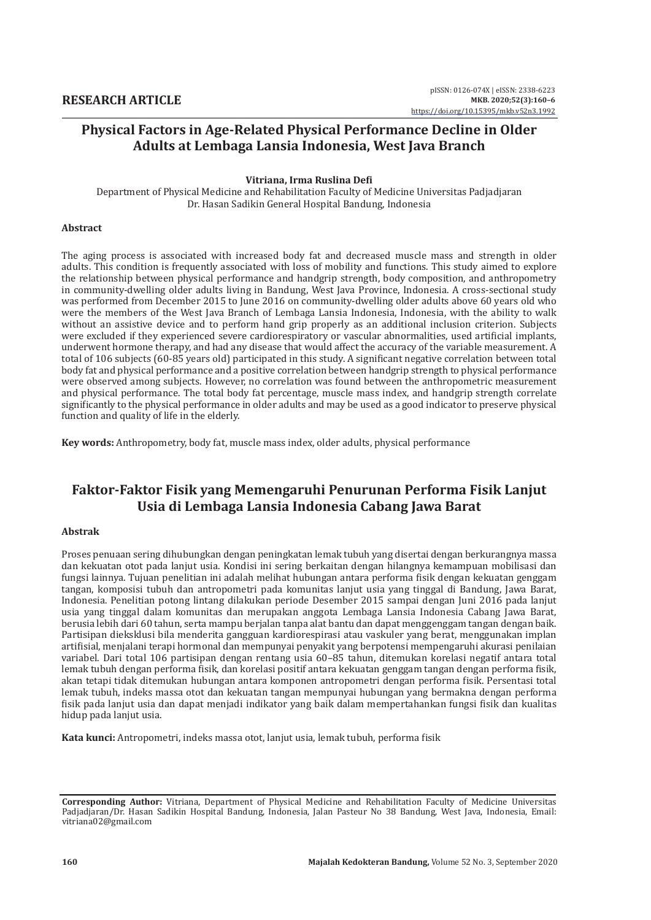## **Physical Factors in Age-Related Physical Performance Decline in Older Adults at Lembaga Lansia Indonesia, West Java Branch**

#### **Vitriana, Irma Ruslina Defi**

Department of Physical Medicine and Rehabilitation Faculty of Medicine Universitas Padjadjaran Dr. Hasan Sadikin General Hospital Bandung, Indonesia

### **Abstract**

The aging process is associated with increased body fat and decreased muscle mass and strength in older adults. This condition is frequently associated with loss of mobility and functions. This study aimed to explore the relationship between physical performance and handgrip strength, body composition, and anthropometry in community-dwelling older adults living in Bandung, West Java Province, Indonesia. A cross-sectional study was performed from December 2015 to June 2016 on community-dwelling older adults above 60 years old who were the members of the West Java Branch of Lembaga Lansia Indonesia, Indonesia, with the ability to walk without an assistive device and to perform hand grip properly as an additional inclusion criterion. Subjects were excluded if they experienced severe cardiorespiratory or vascular abnormalities, used artificial implants, underwent hormone therapy, and had any disease that would affect the accuracy of the variable measurement. A total of 106 subjects (60-85 years old) participated in this study. A significant negative correlation between total body fat and physical performance and a positive correlation between handgrip strength to physical performance were observed among subjects. However, no correlation was found between the anthropometric measurement and physical performance. The total body fat percentage, muscle mass index, and handgrip strength correlate significantly to the physical performance in older adults and may be used as a good indicator to preserve physical function and quality of life in the elderly.

**Key words:** Anthropometry, body fat, muscle mass index, older adults, physical performance

# **Faktor-Faktor Fisik yang Memengaruhi Penurunan Performa Fisik Lanjut Usia di Lembaga Lansia Indonesia Cabang Jawa Barat**

#### **Abstrak**

Proses penuaan sering dihubungkan dengan peningkatan lemak tubuh yang disertai dengan berkurangnya massa dan kekuatan otot pada lanjut usia. Kondisi ini sering berkaitan dengan hilangnya kemampuan mobilisasi dan fungsi lainnya. Tujuan penelitian ini adalah melihat hubungan antara performa fisik dengan kekuatan genggam tangan, komposisi tubuh dan antropometri pada komunitas lanjut usia yang tinggal di Bandung, Jawa Barat, Indonesia. Penelitian potong lintang dilakukan periode Desember 2015 sampai dengan Juni 2016 pada lanjut usia yang tinggal dalam komunitas dan merupakan anggota Lembaga Lansia Indonesia Cabang Jawa Barat, berusia lebih dari 60 tahun, serta mampu berjalan tanpa alat bantu dan dapat menggenggam tangan dengan baik. Partisipan dieksklusi bila menderita gangguan kardiorespirasi atau vaskuler yang berat, menggunakan implan artifisial, menjalani terapi hormonal dan mempunyai penyakit yang berpotensi mempengaruhi akurasi penilaian variabel. Dari total 106 partisipan dengan rentang usia 60–85 tahun, ditemukan korelasi negatif antara total lemak tubuh dengan performa fisik, dan korelasi positif antara kekuatan genggam tangan dengan performa fisik, akan tetapi tidak ditemukan hubungan antara komponen antropometri dengan performa fisik. Persentasi total lemak tubuh, indeks massa otot dan kekuatan tangan mempunyai hubungan yang bermakna dengan performa fisik pada lanjut usia dan dapat menjadi indikator yang baik dalam mempertahankan fungsi fisik dan kualitas hidup pada lanjut usia.

**Kata kunci:** Antropometri, indeks massa otot, lanjut usia, lemak tubuh, performa fisik

**Corresponding Author:** Vitriana, Department of Physical Medicine and Rehabilitation Faculty of Medicine Universitas Padjadjaran/Dr. Hasan Sadikin Hospital Bandung, Indonesia, Jalan Pasteur No 38 Bandung, West Java, Indonesia, Email: vitriana02@gmail.com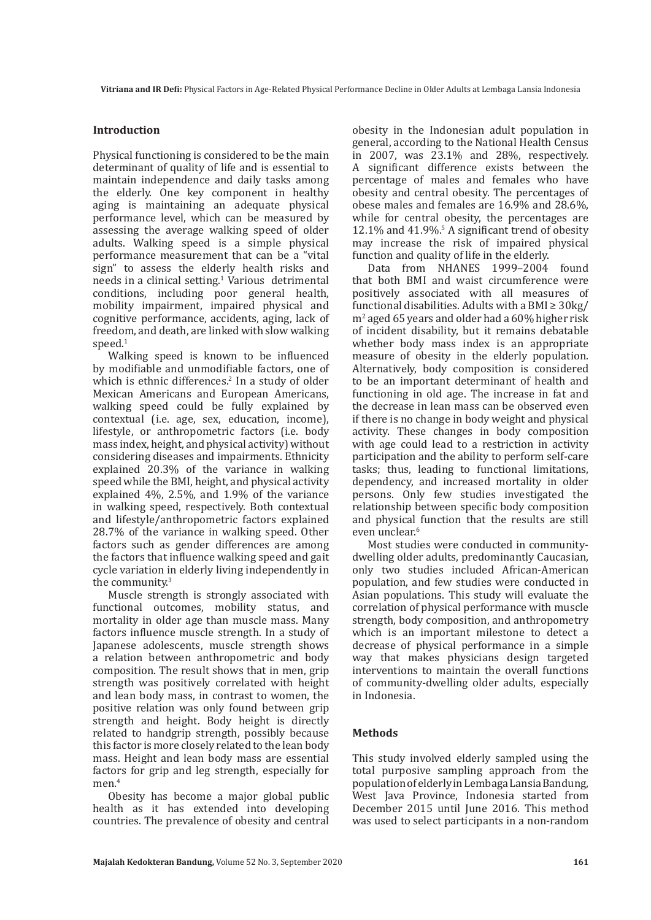### **Introduction**

Physical functioning is considered to be the main determinant of quality of life and is essential to maintain independence and daily tasks among the elderly. One key component in healthy aging is maintaining an adequate physical performance level, which can be measured by assessing the average walking speed of older adults. Walking speed is a simple physical performance measurement that can be a "vital sign" to assess the elderly health risks and needs in a clinical setting.<sup>1</sup> Various detrimental conditions, including poor general health, mobility impairment, impaired physical and cognitive performance, accidents, aging, lack of freedom, and death, are linked with slow walking speed.<sup>1</sup>

Walking speed is known to be influenced by modifiable and unmodifiable factors, one of which is ethnic differences.<sup>2</sup> In a study of older Mexican Americans and European Americans, walking speed could be fully explained by contextual (i.e. age, sex, education, income), lifestyle, or anthropometric factors (i.e. body mass index, height, and physical activity) without considering diseases and impairments. Ethnicity explained 20.3% of the variance in walking speed while the BMI, height, and physical activity explained 4%, 2.5%, and 1.9% of the variance in walking speed, respectively. Both contextual and lifestyle/anthropometric factors explained 28.7% of the variance in walking speed. Other factors such as gender differences are among the factors that influence walking speed and gait cycle variation in elderly living independently in the community.3

Muscle strength is strongly associated with functional outcomes, mobility status, and mortality in older age than muscle mass. Many factors influence muscle strength. In a study of Japanese adolescents, muscle strength shows a relation between anthropometric and body composition. The result shows that in men, grip strength was positively correlated with height and lean body mass, in contrast to women, the positive relation was only found between grip strength and height. Body height is directly related to handgrip strength, possibly because this factor is more closely related to the lean body mass. Height and lean body mass are essential factors for grip and leg strength, especially for men.<sup>4</sup>

Obesity has become a major global public health as it has extended into developing countries. The prevalence of obesity and central

obesity in the Indonesian adult population in general, according to the National Health Census in 2007, was 23.1% and 28%, respectively. A significant difference exists between the percentage of males and females who have obesity and central obesity. The percentages of obese males and females are 16.9% and 28.6%, while for central obesity, the percentages are 12.1% and 41.9%.5 A significant trend of obesity may increase the risk of impaired physical function and quality of life in the elderly.

Data from NHANES 1999–2004 found that both BMI and waist circumference were positively associated with all measures of functional disabilities. Adults with a BMI $\geq$  30kg/ m2 aged 65 years and older had a 60% higher risk of incident disability, but it remains debatable whether body mass index is an appropriate measure of obesity in the elderly population. Alternatively, body composition is considered to be an important determinant of health and functioning in old age. The increase in fat and the decrease in lean mass can be observed even if there is no change in body weight and physical activity. These changes in body composition with age could lead to a restriction in activity participation and the ability to perform self-care tasks; thus, leading to functional limitations, dependency, and increased mortality in older persons. Only few studies investigated the relationship between specific body composition and physical function that the results are still even unclear<sup>6</sup>

Most studies were conducted in communitydwelling older adults, predominantly Caucasian, only two studies included African-American population, and few studies were conducted in Asian populations. This study will evaluate the correlation of physical performance with muscle strength, body composition, and anthropometry which is an important milestone to detect a decrease of physical performance in a simple way that makes physicians design targeted interventions to maintain the overall functions of community-dwelling older adults, especially in Indonesia.

#### **Methods**

This study involved elderly sampled using the total purposive sampling approach from the population of elderly in Lembaga Lansia Bandung, West Java Province, Indonesia started from December 2015 until June 2016. This method was used to select participants in a non-random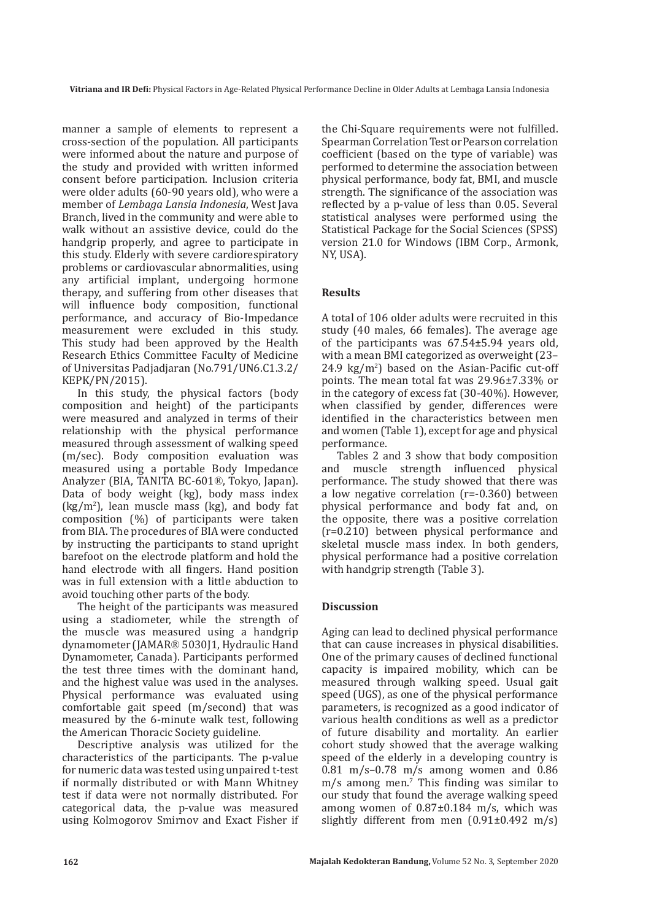manner a sample of elements to represent a cross-section of the population. All participants were informed about the nature and purpose of the study and provided with written informed consent before participation. Inclusion criteria were older adults (60-90 years old), who were a member of *Lembaga Lansia Indonesia*, West Java Branch, lived in the community and were able to walk without an assistive device, could do the handgrip properly, and agree to participate in this study. Elderly with severe cardiorespiratory problems or cardiovascular abnormalities, using any artificial implant, undergoing hormone therapy, and suffering from other diseases that will influence body composition, functional performance, and accuracy of Bio-Impedance measurement were excluded in this study. This study had been approved by the Health Research Ethics Committee Faculty of Medicine of Universitas Padjadjaran (No.791/UN6.C1.3.2/ KEPK/PN/2015).

In this study, the physical factors (body composition and height) of the participants were measured and analyzed in terms of their relationship with the physical performance measured through assessment of walking speed (m/sec). Body composition evaluation was measured using a portable Body Impedance Analyzer (BIA, TANITA BC-601®, Tokyo, Japan). Data of body weight (kg), body mass index (kg/m2 ), lean muscle mass (kg), and body fat composition (%) of participants were taken from BIA. The procedures of BIA were conducted by instructing the participants to stand upright barefoot on the electrode platform and hold the hand electrode with all fingers. Hand position was in full extension with a little abduction to avoid touching other parts of the body.

The height of the participants was measured using a stadiometer, while the strength of the muscle was measured using a handgrip dynamometer (JAMAR® 5030J1, Hydraulic Hand Dynamometer, Canada). Participants performed the test three times with the dominant hand, and the highest value was used in the analyses. Physical performance was evaluated using comfortable gait speed (m/second) that was measured by the 6-minute walk test, following the American Thoracic Society guideline.

Descriptive analysis was utilized for the characteristics of the participants. The p-value for numeric data was tested using unpaired t-test if normally distributed or with Mann Whitney test if data were not normally distributed. For categorical data, the p-value was measured using Kolmogorov Smirnov and Exact Fisher if the Chi-Square requirements were not fulfilled. Spearman Correlation Test or Pearson correlation coefficient (based on the type of variable) was performed to determine the association between physical performance, body fat, BMI, and muscle strength. The significance of the association was reflected by a p-value of less than 0.05. Several statistical analyses were performed using the Statistical Package for the Social Sciences (SPSS) version 21.0 for Windows (IBM Corp., Armonk, NY, USA).

## **Results**

A total of 106 older adults were recruited in this study (40 males, 66 females). The average age of the participants was 67.54±5.94 years old, with a mean BMI categorized as overweight (23– 24.9  $\text{kg/m}^2$ ) based on the Asian-Pacific cut-off points. The mean total fat was 29.96±7.33% or in the category of excess fat (30-40%). However, when classified by gender, differences were identified in the characteristics between men and women (Table 1), except for age and physical performance.

Tables 2 and 3 show that body composition<br>and muscle strength influenced physical muscle strength influenced physical performance. The study showed that there was a low negative correlation (r=-0.360) between physical performance and body fat and, on the opposite, there was a positive correlation (r=0.210) between physical performance and skeletal muscle mass index. In both genders, physical performance had a positive correlation with handgrip strength (Table 3).

#### **Discussion**

Aging can lead to declined physical performance that can cause increases in physical disabilities. One of the primary causes of declined functional capacity is impaired mobility, which can be measured through walking speed. Usual gait speed (UGS), as one of the physical performance parameters, is recognized as a good indicator of various health conditions as well as a predictor of future disability and mortality. An earlier cohort study showed that the average walking speed of the elderly in a developing country is 0.81 m/s–0.78 m/s among women and 0.86 m/s among men.7 This finding was similar to our study that found the average walking speed among women of 0.87±0.184 m/s, which was slightly different from men (0.91±0.492 m/s)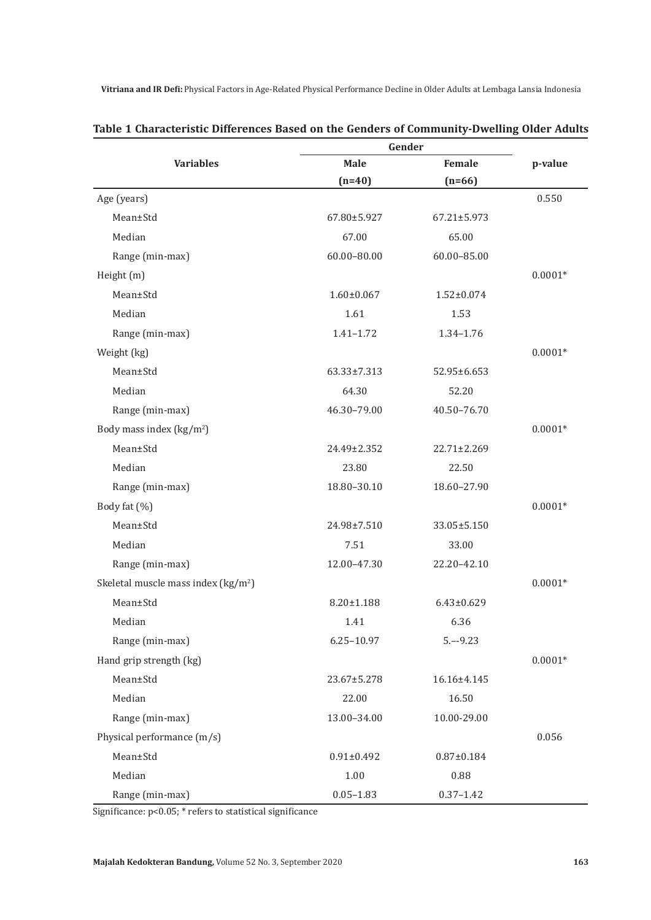**Vitriana and IR Defi:** Physical Factors in Age-Related Physical Performance Decline in Older Adults at Lembaga Lansia Indonesia

|                                      | Gender            |                   |           |
|--------------------------------------|-------------------|-------------------|-----------|
| <b>Variables</b>                     | <b>Male</b>       | Female            | p-value   |
|                                      | $(n=40)$          | $(n=66)$          |           |
| Age (years)                          |                   |                   | 0.550     |
| Mean±Std                             | 67.80±5.927       | 67.21±5.973       |           |
| Median                               | 67.00             | 65.00             |           |
| Range (min-max)                      | 60.00-80.00       | 60.00-85.00       |           |
| Height (m)                           |                   |                   | $0.0001*$ |
| Mean±Std                             | $1.60 \pm 0.067$  | $1.52 \pm 0.074$  |           |
| Median                               | 1.61              | 1.53              |           |
| Range (min-max)                      | $1.41 - 1.72$     | 1.34-1.76         |           |
| Weight (kg)                          |                   |                   | $0.0001*$ |
| Mean±Std                             | $63.33 \pm 7.313$ | 52.95±6.653       |           |
| Median                               | 64.30             | 52.20             |           |
| Range (min-max)                      | 46.30-79.00       | 40.50-76.70       |           |
| Body mass index $(kg/m2)$            |                   |                   | $0.0001*$ |
| Mean±Std                             | 24.49±2.352       | $22.71 \pm 2.269$ |           |
| Median                               | 23.80             | 22.50             |           |
| Range (min-max)                      | 18.80-30.10       | 18.60-27.90       |           |
| Body fat (%)                         |                   |                   | $0.0001*$ |
| Mean±Std                             | 24.98±7.510       | 33.05±5.150       |           |
| Median                               | 7.51              | 33.00             |           |
| Range (min-max)                      | 12.00-47.30       | 22.20-42.10       |           |
| Skeletal muscle mass index $(kg/m2)$ |                   |                   | $0.0001*$ |
| Mean±Std                             | 8.20±1.188        | $6.43 \pm 0.629$  |           |
| Median                               | 1.41              | 6.36              |           |
| Range (min-max)                      | $6.25 - 10.97$    | $5. - -9.23$      |           |
| Hand grip strength (kg)              |                   |                   | $0.0001*$ |
| Mean±Std                             | 23.67±5.278       | 16.16±4.145       |           |
| Median                               | 22.00             | 16.50             |           |
| Range (min-max)                      | 13.00-34.00       | 10.00-29.00       |           |
| Physical performance (m/s)           |                   |                   | 0.056     |
| Mean±Std                             | $0.91 \pm 0.492$  | $0.87 \pm 0.184$  |           |
| Median                               | $1.00\,$          | 0.88              |           |
| Range (min-max)                      | $0.05 - 1.83$     | $0.37 - 1.42$     |           |

## **Table 1 Characteristic Differences Based on the Genders of Community-Dwelling Older Adults**

Significance: p<0.05; \* refers to statistical significance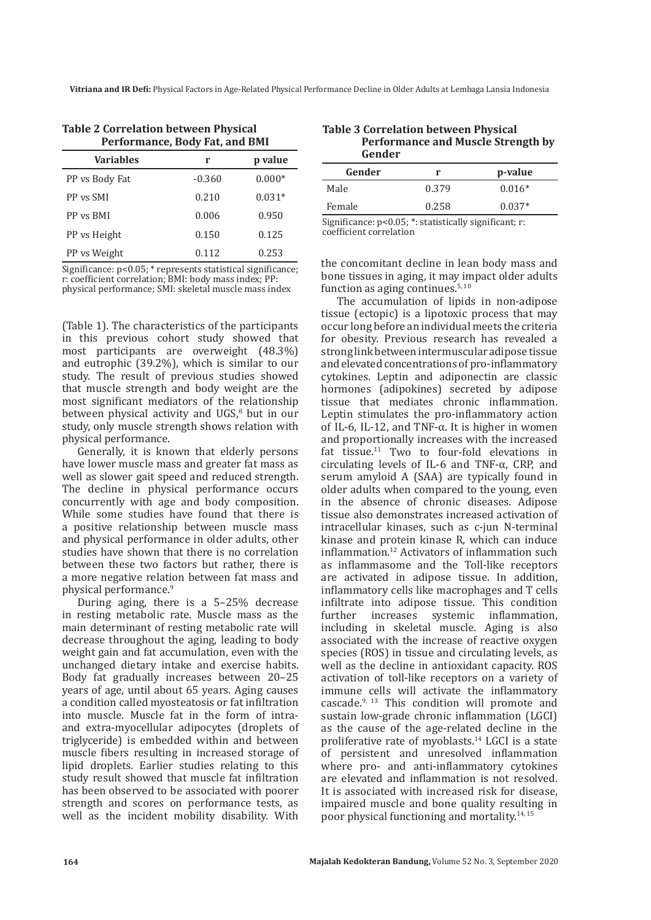**Vitriana and IR Defi:** Physical Factors in Age-Related Physical Performance Decline in Older Adults at Lembaga Lansia Indonesia

| <b>Variables</b> | r        | p value  |  |  |
|------------------|----------|----------|--|--|
| PP vs Body Fat   | $-0.360$ | $0.000*$ |  |  |
| PP vs SMI        | 0.210    | $0.031*$ |  |  |
| PP vs BMI        | 0.006    | 0.950    |  |  |
| PP vs Height     | 0.150    | 0.125    |  |  |
| PP vs Weight     | 0.112    | 0.253    |  |  |

| Table 2 Correlation between Physical |  |
|--------------------------------------|--|
| Performance, Body Fat, and BMI       |  |

Significance: p<0.05; \* represents statistical significance; r: coefficient correlation; BMI: body mass index; PP: physical performance; SMI: skeletal muscle mass index

(Table 1). The characteristics of the participants in this previous cohort study showed that most participants are overweight (48.3%) and eutrophic (39.2%), which is similar to our study. The result of previous studies showed that muscle strength and body weight are the most significant mediators of the relationship between physical activity and  $UGS<sub>6</sub><sup>8</sup>$  but in our study, only muscle strength shows relation with physical performance.

Generally, it is known that elderly persons have lower muscle mass and greater fat mass as well as slower gait speed and reduced strength. The decline in physical performance occurs concurrently with age and body composition. While some studies have found that there is a positive relationship between muscle mass and physical performance in older adults, other studies have shown that there is no correlation between these two factors but rather, there is a more negative relation between fat mass and physical performance.9

During aging, there is a 5–25% decrease in resting metabolic rate. Muscle mass as the main determinant of resting metabolic rate will decrease throughout the aging, leading to body weight gain and fat accumulation, even with the unchanged dietary intake and exercise habits. Body fat gradually increases between 20–25 years of age, until about 65 years. Aging causes a condition called myosteatosis or fat infiltration into muscle. Muscle fat in the form of intraand extra-myocellular adipocytes (droplets of triglyceride) is embedded within and between muscle fibers resulting in increased storage of lipid droplets. Earlier studies relating to this study result showed that muscle fat infiltration has been observed to be associated with poorer strength and scores on performance tests, as well as the incident mobility disability. With

| <b>Table 3 Correlation between Physical</b> |  |
|---------------------------------------------|--|
| <b>Performance and Muscle Strength by</b>   |  |
| Gender                                      |  |

| ucuuci                                                                                                                       |       |          |  |
|------------------------------------------------------------------------------------------------------------------------------|-------|----------|--|
| Gender                                                                                                                       |       | p-value  |  |
| Male                                                                                                                         | 0.379 | $0.016*$ |  |
| Female                                                                                                                       | 0.258 | $0.037*$ |  |
| $C: \ldots : C: \ldots \to \ldots \to \Omega$ $\Omega \vdash \mathcal{R}$ . It is in the standard $C: \ldots \mapsto \ldots$ |       |          |  |

Significance: p<0.05; \*: statistically significant; r: coefficient correlation

the concomitant decline in lean body mass and bone tissues in aging, it may impact older adults function as aging continues. $5,10$ 

The accumulation of lipids in non-adipose tissue (ectopic) is a lipotoxic process that may occur long before an individual meets the criteria for obesity. Previous research has revealed a strong link between intermuscular adipose tissue and elevated concentrations of pro-inflammatory cytokines. Leptin and adiponectin are classic hormones (adipokines) secreted by adipose tissue that mediates chronic inflammation. Leptin stimulates the pro-inflammatory action of IL-6, IL-12, and TNF-α. It is higher in women and proportionally increases with the increased fat tissue.11 Two to four-fold elevations in circulating levels of IL-6 and TNF-α, CRP, and serum amyloid A (SAA) are typically found in older adults when compared to the young, even in the absence of chronic diseases. Adipose tissue also demonstrates increased activation of intracellular kinases, such as c-jun N-terminal kinase and protein kinase R, which can induce inflammation.<sup>12</sup> Activators of inflammation such as inflammasome and the Toll-like receptors are activated in adipose tissue. In addition, inflammatory cells like macrophages and T cells infiltrate into adipose tissue. This condition<br>further increases systemic inflammation, inflammation, including in skeletal muscle. Aging is also associated with the increase of reactive oxygen species (ROS) in tissue and circulating levels, as well as the decline in antioxidant capacity. ROS activation of toll-like receptors on a variety of immune cells will activate the inflammatory cascade.9, 13 This condition will promote and sustain low-grade chronic inflammation (LGCI) as the cause of the age-related decline in the proliferative rate of myoblasts.14 LGCI is a state of persistent and unresolved inflammation where pro- and anti-inflammatory cytokines are elevated and inflammation is not resolved. It is associated with increased risk for disease, impaired muscle and bone quality resulting in poor physical functioning and mortality.14, 15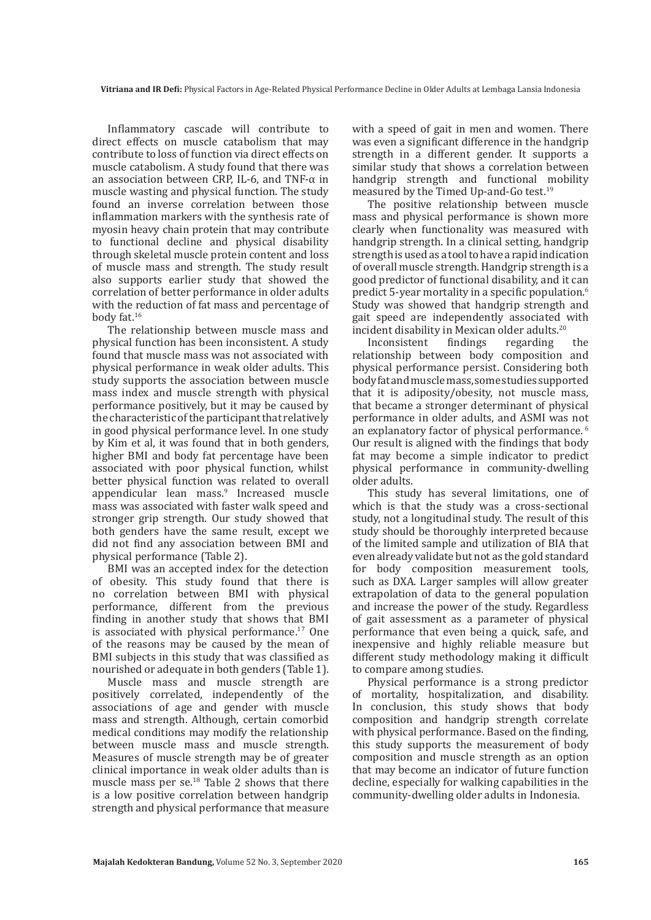Inflammatory cascade will contribute to direct effects on muscle catabolism that may contribute to loss of function via direct effects on muscle catabolism. A study found that there was an association between CRP, IL-6, and TNF-α in muscle wasting and physical function. The study found an inverse correlation between those inflammation markers with the synthesis rate of myosin heavy chain protein that may contribute to functional decline and physical disability through skeletal muscle protein content and loss of muscle mass and strength. The study result also supports earlier study that showed the correlation of better performance in older adults with the reduction of fat mass and percentage of body fat.16

The relationship between muscle mass and physical function has been inconsistent. A study found that muscle mass was not associated with physical performance in weak older adults. This study supports the association between muscle mass index and muscle strength with physical performance positively, but it may be caused by the characteristic of the participant that relatively in good physical performance level. In one study by Kim et al, it was found that in both genders, higher BMI and body fat percentage have been associated with poor physical function, whilst better physical function was related to overall appendicular lean mass.9 Increased muscle mass was associated with faster walk speed and stronger grip strength. Our study showed that both genders have the same result, except we did not find any association between BMI and physical performance (Table 2).

BMI was an accepted index for the detection of obesity. This study found that there is no correlation between BMI with physical performance, different from the previous finding in another study that shows that BMI is associated with physical performance.<sup>17</sup> One of the reasons may be caused by the mean of BMI subjects in this study that was classified as nourished or adequate in both genders (Table 1).

Muscle mass and muscle strength are positively correlated, independently of the associations of age and gender with muscle mass and strength. Although, certain comorbid medical conditions may modify the relationship between muscle mass and muscle strength. Measures of muscle strength may be of greater clinical importance in weak older adults than is muscle mass per se.18 Table 2 shows that there is a low positive correlation between handgrip strength and physical performance that measure

with a speed of gait in men and women. There was even a significant difference in the handgrip strength in a different gender. It supports a similar study that shows a correlation between handgrip strength and functional mobility measured by the Timed Up-and-Go test.19

The positive relationship between muscle mass and physical performance is shown more clearly when functionality was measured with handgrip strength. In a clinical setting, handgrip strength is used as a tool to have a rapid indication of overall muscle strength. Handgrip strength is a good predictor of functional disability, and it can predict 5-year mortality in a specific population.<sup>6</sup> Study was showed that handgrip strength and gait speed are independently associated with incident disability in Mexican older adults.<sup>20</sup><br>Inconsistent findings regarding

Inconsistent findings regarding the relationship between body composition and physical performance persist. Considering both body fat and muscle mass, some studies supported that it is adiposity/obesity, not muscle mass, that became a stronger determinant of physical performance in older adults, and ASMI was not an explanatory factor of physical performance. 6 Our result is aligned with the findings that body fat may become a simple indicator to predict physical performance in community-dwelling older adults.

This study has several limitations, one of which is that the study was a cross-sectional study, not a longitudinal study. The result of this study should be thoroughly interpreted because of the limited sample and utilization of BIA that even already validate but not as the gold standard for body composition measurement tools, such as DXA. Larger samples will allow greater extrapolation of data to the general population and increase the power of the study. Regardless of gait assessment as a parameter of physical performance that even being a quick, safe, and inexpensive and highly reliable measure but different study methodology making it difficult to compare among studies.

Physical performance is a strong predictor of mortality, hospitalization, and disability. In conclusion, this study shows that body composition and handgrip strength correlate with physical performance. Based on the finding, this study supports the measurement of body composition and muscle strength as an option that may become an indicator of future function decline, especially for walking capabilities in the community-dwelling older adults in Indonesia.